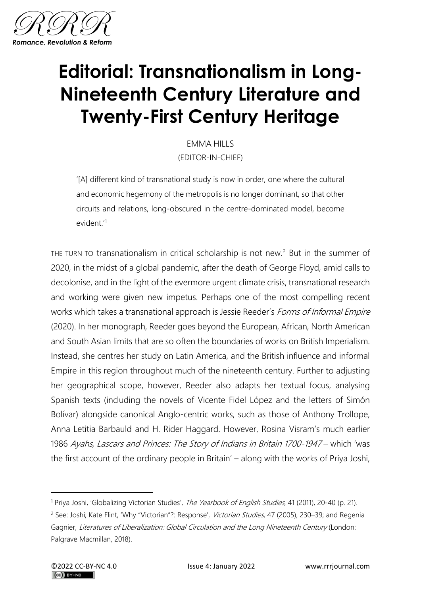

## **Editorial: Transnationalism in Long-Nineteenth Century Literature and Twenty-First Century Heritage**

EMMA HILLS (EDITOR-IN-CHIEF)

'[A] different kind of transnational study is now in order, one where the cultural and economic hegemony of the metropolis is no longer dominant, so that other circuits and relations, long-obscured in the centre-dominated model, become evident.'<sup>1</sup>

THE TURN TO transnationalism in critical scholarship is not new.<sup>2</sup> But in the summer of 2020, in the midst of a global pandemic, after the death of George Floyd, amid calls to decolonise, and in the light of the evermore urgent climate crisis, transnational research and working were given new impetus. Perhaps one of the most compelling recent works which takes a transnational approach is Jessie Reeder's *Forms of Informal Empire* (2020). In her monograph, Reeder goes beyond the European, African, North American and South Asian limits that are so often the boundaries of works on British Imperialism. Instead, she centres her study on Latin America, and the British influence and informal Empire in this region throughout much of the nineteenth century. Further to adjusting her geographical scope, however, Reeder also adapts her textual focus, analysing Spanish texts (including the novels of Vicente Fidel López and the letters of Simón Bolívar) alongside canonical Anglo-centric works, such as those of Anthony Trollope, Anna Letitia Barbauld and H. Rider Haggard. However, Rosina Visram's much earlier 1986 Ayahs, Lascars and Princes: The Story of Indians in Britain 1700-1947 – which 'was the first account of the ordinary people in Britain' – along with the works of Priya Joshi,

<sup>&</sup>lt;sup>1</sup> Priya Joshi, 'Globalizing Victorian Studies', The Yearbook of English Studies, 41 (2011), 20-40 (p. 21).

<sup>&</sup>lt;sup>2</sup> See: Joshi; Kate Flint, 'Why "Victorian"?: Response', Victorian Studies, 47 (2005), 230-39; and Regenia Gagnier, Literatures of Liberalization: Global Circulation and the Long Nineteenth Century (London: Palgrave Macmillan, 2018).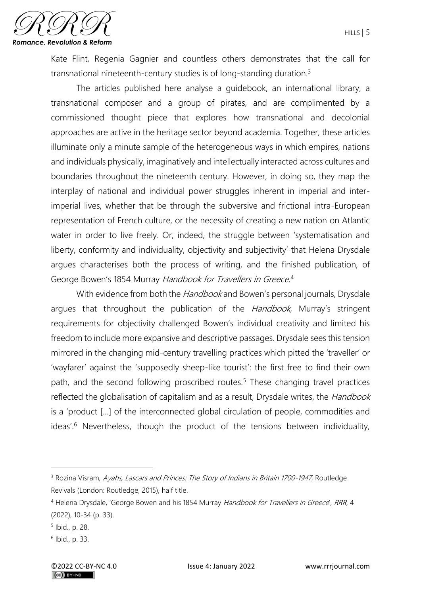

Kate Flint, Regenia Gagnier and countless others demonstrates that the call for transnational nineteenth-century studies is of long-standing duration.<sup>3</sup>

The articles published here analyse a guidebook, an international library, a transnational composer and a group of pirates, and are complimented by a commissioned thought piece that explores how transnational and decolonial approaches are active in the heritage sector beyond academia. Together, these articles illuminate only a minute sample of the heterogeneous ways in which empires, nations and individuals physically, imaginatively and intellectually interacted across cultures and boundaries throughout the nineteenth century. However, in doing so, they map the interplay of national and individual power struggles inherent in imperial and interimperial lives, whether that be through the subversive and frictional intra-European representation of French culture, or the necessity of creating a new nation on Atlantic water in order to live freely. Or, indeed, the struggle between 'systematisation and liberty, conformity and individuality, objectivity and subjectivity' that Helena Drysdale argues characterises both the process of writing, and the finished publication, of George Bowen's 1854 Murray Handbook for Travellers in Greece.<sup>4</sup>

With evidence from both the *Handbook* and Bowen's personal journals, Drysdale argues that throughout the publication of the *Handbook*, Murray's stringent requirements for objectivity challenged Bowen's individual creativity and limited his freedom to include more expansive and descriptive passages. Drysdale sees this tension mirrored in the changing mid-century travelling practices which pitted the 'traveller' or 'wayfarer' against the 'supposedly sheep-like tourist': the first free to find their own path, and the second following proscribed routes.<sup>5</sup> These changing travel practices reflected the globalisation of capitalism and as a result, Drysdale writes, the Handbook is a 'product […] of the interconnected global circulation of people, commodities and ideas'.<sup>6</sup> Nevertheless, though the product of the tensions between individuality,

<sup>&</sup>lt;sup>3</sup> Rozina Visram, Ayahs, Lascars and Princes: The Story of Indians in Britain 1700-1947, Routledge Revivals (London: Routledge, 2015), half title.

<sup>&</sup>lt;sup>4</sup> Helena Drysdale, 'George Bowen and his 1854 Murray Handbook for Travellers in Greece', RRR, 4 (2022), 10-34 (p. 33).

<sup>5</sup> Ibid., p. 28.

<sup>6</sup> Ibid., p. 33.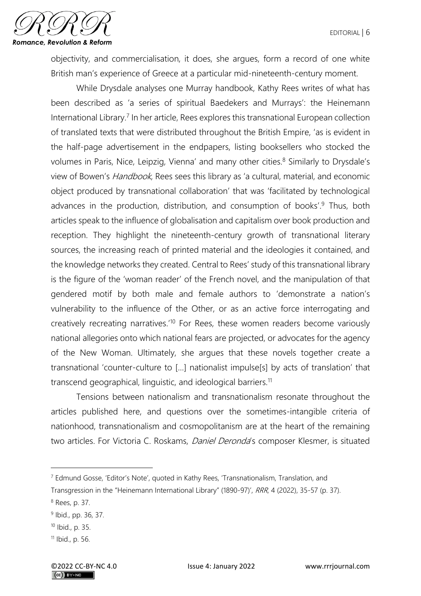

objectivity, and commercialisation, it does, she argues, form a record of one white British man's experience of Greece at a particular mid-nineteenth-century moment.

While Drysdale analyses one Murray handbook, Kathy Rees writes of what has been described as 'a series of spiritual Baedekers and Murrays': the Heinemann International Library.<sup>7</sup> In her article, Rees explores this transnational European collection of translated texts that were distributed throughout the British Empire, 'as is evident in the half-page advertisement in the endpapers, listing booksellers who stocked the volumes in Paris, Nice, Leipzig, Vienna' and many other cities.<sup>8</sup> Similarly to Drysdale's view of Bowen's Handbook, Rees sees this library as 'a cultural, material, and economic object produced by transnational collaboration' that was 'facilitated by technological advances in the production, distribution, and consumption of books'.<sup>9</sup> Thus, both articles speak to the influence of globalisation and capitalism over book production and reception. They highlight the nineteenth-century growth of transnational literary sources, the increasing reach of printed material and the ideologies it contained, and the knowledge networks they created. Central to Rees' study of this transnational library is the figure of the 'woman reader' of the French novel, and the manipulation of that gendered motif by both male and female authors to 'demonstrate a nation's vulnerability to the influence of the Other, or as an active force interrogating and creatively recreating narratives.'<sup>10</sup> For Rees, these women readers become variously national allegories onto which national fears are projected, or advocates for the agency of the New Woman. Ultimately, she argues that these novels together create a transnational 'counter-culture to […] nationalist impulse[s] by acts of translation' that transcend geographical, linguistic, and ideological barriers.<sup>11</sup>

Tensions between nationalism and transnationalism resonate throughout the articles published here, and questions over the sometimes-intangible criteria of nationhood, transnationalism and cosmopolitanism are at the heart of the remaining two articles. For Victoria C. Roskams, *Daniel Deronda's* composer Klesmer, is situated

 $7$  Edmund Gosse, 'Editor's Note', quoted in Kathy Rees, 'Transnationalism, Translation, and

Transgression in the "Heinemann International Library" (1890-97)', RRR, 4 (2022), 35-57 (p. 37).

<sup>8</sup> Rees, p. 37.

<sup>&</sup>lt;sup>9</sup> Ibid., pp. 36, 37.

<sup>10</sup> Ibid., p. 35.

<sup>11</sup> Ibid., p. 56.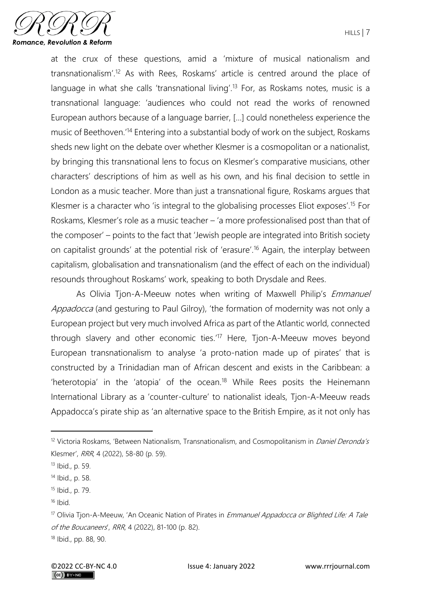

at the crux of these questions, amid a 'mixture of musical nationalism and transnationalism'.<sup>12</sup> As with Rees, Roskams' article is centred around the place of language in what she calls 'transnational living'.<sup>13</sup> For, as Roskams notes, music is a transnational language: 'audiences who could not read the works of renowned European authors because of a language barrier, […] could nonetheless experience the music of Beethoven.'<sup>14</sup> Entering into a substantial body of work on the subject, Roskams sheds new light on the debate over whether Klesmer is a cosmopolitan or a nationalist, by bringing this transnational lens to focus on Klesmer's comparative musicians, other characters' descriptions of him as well as his own, and his final decision to settle in London as a music teacher. More than just a transnational figure, Roskams argues that Klesmer is a character who 'is integral to the globalising processes Eliot exposes'.<sup>15</sup> For Roskams, Klesmer's role as a music teacher – 'a more professionalised post than that of the composer' – points to the fact that 'Jewish people are integrated into British society on capitalist grounds' at the potential risk of 'erasure'.<sup>16</sup> Again, the interplay between capitalism, globalisation and transnationalism (and the effect of each on the individual) resounds throughout Roskams' work, speaking to both Drysdale and Rees.

As Olivia Tjon-A-Meeuw notes when writing of Maxwell Philip's *Emmanuel* Appadocca (and gesturing to Paul Gilroy), 'the formation of modernity was not only a European project but very much involved Africa as part of the Atlantic world, connected through slavery and other economic ties.'<sup>17</sup> Here, Tjon-A-Meeuw moves beyond European transnationalism to analyse 'a proto-nation made up of pirates' that is constructed by a Trinidadian man of African descent and exists in the Caribbean: a 'heterotopia' in the 'atopia' of the ocean.<sup>18</sup> While Rees posits the Heinemann International Library as a 'counter-culture' to nationalist ideals, Tjon-A-Meeuw reads Appadocca's pirate ship as 'an alternative space to the British Empire, as it not only has

<sup>&</sup>lt;sup>12</sup> Victoria Roskams, 'Between Nationalism, Transnationalism, and Cosmopolitanism in *Daniel Deronda's* Klesmer', RRR, 4 (2022), 58-80 (p. 59).

<sup>13</sup> Ibid., p. 59.

<sup>14</sup> Ibid., p. 58.

<sup>15</sup> Ibid., p. 79.

 $16$  Ibid.

<sup>&</sup>lt;sup>17</sup> Olivia Tjon-A-Meeuw, 'An Oceanic Nation of Pirates in *Emmanuel Appadocca or Blighted Life: A Tale* of the Boucaneers', RRR, 4 (2022), 81-100 (p. 82).

<sup>18</sup> Ibid., pp. 88, 90.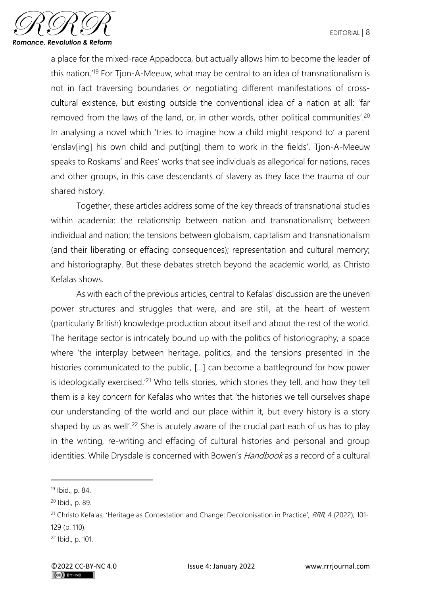

a place for the mixed-race Appadocca, but actually allows him to become the leader of this nation.'<sup>19</sup> For Tjon-A-Meeuw, what may be central to an idea of transnationalism is not in fact traversing boundaries or negotiating different manifestations of crosscultural existence, but existing outside the conventional idea of a nation at all: 'far removed from the laws of the land, or, in other words, other political communities'.<sup>20</sup> In analysing a novel which 'tries to imagine how a child might respond to' a parent 'enslav[ing] his own child and put[ting] them to work in the fields', Tjon-A-Meeuw speaks to Roskams' and Rees' works that see individuals as allegorical for nations, races and other groups, in this case descendants of slavery as they face the trauma of our shared history.

Together, these articles address some of the key threads of transnational studies within academia: the relationship between nation and transnationalism; between individual and nation; the tensions between globalism, capitalism and transnationalism (and their liberating or effacing consequences); representation and cultural memory; and historiography. But these debates stretch beyond the academic world, as Christo Kefalas shows.

As with each of the previous articles, central to Kefalas' discussion are the uneven power structures and struggles that were, and are still, at the heart of western (particularly British) knowledge production about itself and about the rest of the world. The heritage sector is intricately bound up with the politics of historiography, a space where 'the interplay between heritage, politics, and the tensions presented in the histories communicated to the public, […] can become a battleground for how power is ideologically exercised.'<sup>21</sup> Who tells stories, which stories they tell, and how they tell them is a key concern for Kefalas who writes that 'the histories we tell ourselves shape our understanding of the world and our place within it, but every history is a story shaped by us as well'.<sup>22</sup> She is acutely aware of the crucial part each of us has to play in the writing, re-writing and effacing of cultural histories and personal and group identities. While Drysdale is concerned with Bowen's Handbook as a record of a cultural

<sup>19</sup> Ibid., p. 84.

<sup>20</sup> Ibid., p. 89.

<sup>&</sup>lt;sup>21</sup> Christo Kefalas, 'Heritage as Contestation and Change: Decolonisation in Practice', RRR, 4 (2022), 101-129 (p. 110).

<sup>22</sup> Ibid., p. 101.